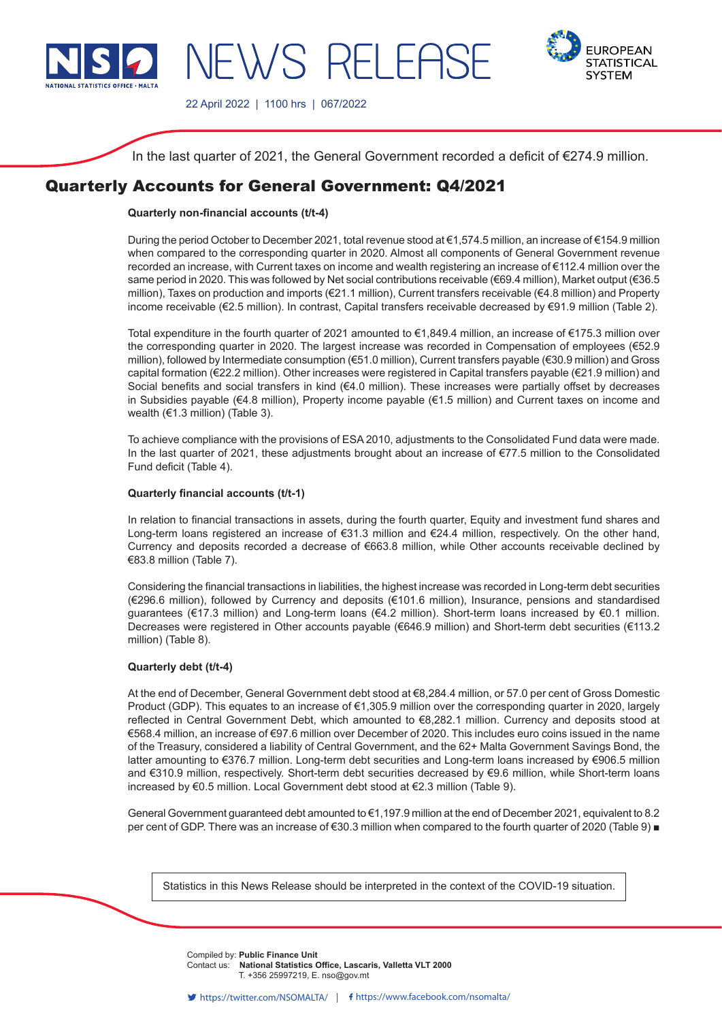

**EUROPEAN STATISTICAL SYSTEM** 

22 April 2022 | 1100 hrs | 067/2022

NEWS RELEAS

In the last quarter of 2021, the General Government recorded a deficit of €274.9 million.

# Quarterly Accounts for General Government: Q4/2021

## **Quarterly non-financial accounts (t/t-4)**

During the period October to December 2021, total revenue stood at €1,574.5 million, an increase of €154.9 million when compared to the corresponding quarter in 2020. Almost all components of General Government revenue recorded an increase, with Current taxes on income and wealth registering an increase of €112.4 million over the same period in 2020. This was followed by Net social contributions receivable (€69.4 million), Market output (€36.5 million), Taxes on production and imports (€21.1 million), Current transfers receivable (€4.8 million) and Property income receivable (€2.5 million). In contrast, Capital transfers receivable decreased by €91.9 million (Table 2).

Total expenditure in the fourth quarter of 2021 amounted to €1,849.4 million, an increase of €175.3 million over the corresponding quarter in 2020. The largest increase was recorded in Compensation of employees (€52.9 million), followed by Intermediate consumption (€51.0 million), Current transfers payable (€30.9 million) and Gross capital formation (€22.2 million). Other increases were registered in Capital transfers payable (€21.9 million) and Social benefits and social transfers in kind (€4.0 million). These increases were partially offset by decreases in Subsidies payable (€4.8 million), Property income payable (€1.5 million) and Current taxes on income and wealth (€1.3 million) (Table 3).

To achieve compliance with the provisions of ESA 2010, adjustments to the Consolidated Fund data were made. In the last quarter of 2021, these adjustments brought about an increase of €77.5 million to the Consolidated Fund deficit (Table 4).

## **Quarterly financial accounts (t/t-1)**

In relation to financial transactions in assets, during the fourth quarter, Equity and investment fund shares and Long-term loans registered an increase of €31.3 million and €24.4 million, respectively. On the other hand, Currency and deposits recorded a decrease of €663.8 million, while Other accounts receivable declined by €83.8 million (Table 7).

Considering the financial transactions in liabilities, the highest increase was recorded in Long-term debt securities (€296.6 million), followed by Currency and deposits (€101.6 million), Insurance, pensions and standardised guarantees (€17.3 million) and Long-term loans (€4.2 million). Short-term loans increased by €0.1 million. Decreases were registered in Other accounts payable (€646.9 million) and Short-term debt securities (€113.2 million) (Table 8).

## **Quarterly debt (t/t-4)**

At the end of December, General Government debt stood at €8,284.4 million, or 57.0 per cent of Gross Domestic Product (GDP). This equates to an increase of €1,305.9 million over the corresponding quarter in 2020, largely reflected in Central Government Debt, which amounted to €8,282.1 million. Currency and deposits stood at €568.4 million, an increase of €97.6 million over December of 2020. This includes euro coins issued in the name of the Treasury, considered a liability of Central Government, and the 62+ Malta Government Savings Bond, the latter amounting to €376.7 million. Long-term debt securities and Long-term loans increased by €906.5 million and €310.9 million, respectively. Short-term debt securities decreased by €9.6 million, while Short-term loans increased by €0.5 million. Local Government debt stood at €2.3 million (Table 9).

General Government guaranteed debt amounted to €1,197.9 million at the end of December 2021, equivalent to 8.2 per cent of GDP. There was an increase of €30.3 million when compared to the fourth quarter of 2020 (Table 9) ■

Statistics in this News Release should be interpreted in the context of the COVID-19 situation.

Compiled by: Public Finance Unit **Company** from the source of the source of the state of the state of the state of the state of the state of the state of the state of the state of the state of the state of the state of the **Contact us: National Statistics Office, Lascaris, Valletta VLT 2000** T. +356 25997219, E. nso@gov.mt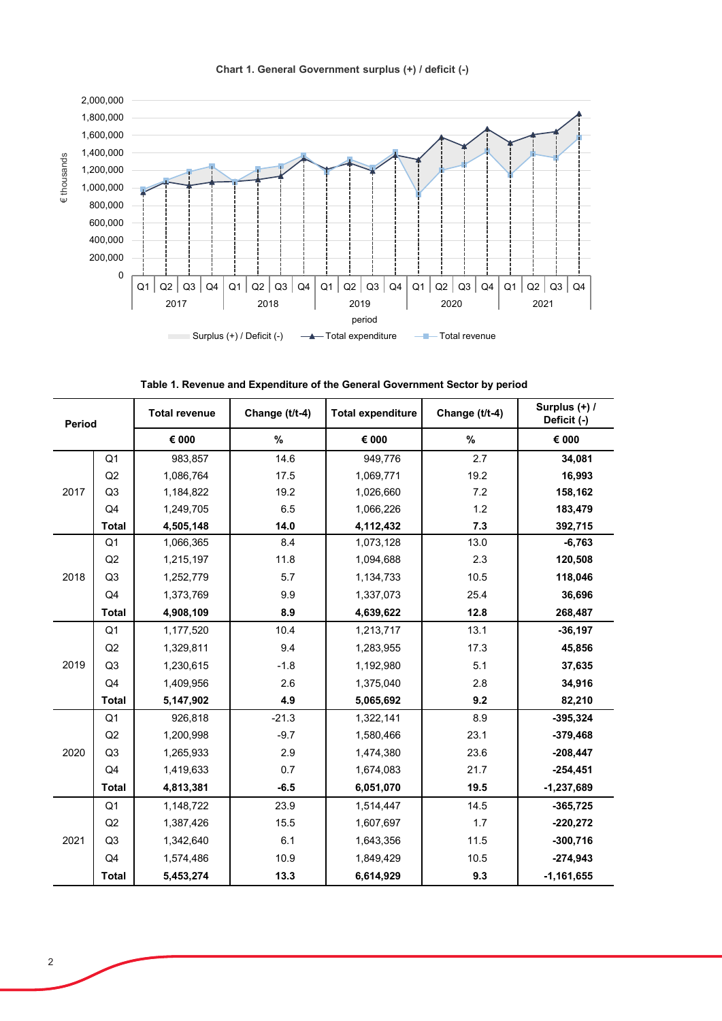**Chart 1. General Government surplus (+) / deficit (-)** 



**Table 1. Revenue and Expenditure of the General Government Sector by period**

| Period |                | <b>Total revenue</b> | Change (t/t-4) | <b>Total expenditure</b> | Change (t/t-4) | Surplus (+) /<br>Deficit (-) |
|--------|----------------|----------------------|----------------|--------------------------|----------------|------------------------------|
|        |                | € 000                | $\%$           | $\epsilon$ 000           | $\%$           | € 000                        |
|        | Q1             | 983,857              | 14.6           | 949,776                  | 2.7            | 34,081                       |
|        | Q2             | 1,086,764            | 17.5           | 1,069,771                | 19.2           | 16,993                       |
| 2017   | Q <sub>3</sub> | 1,184,822            | 19.2           | 1,026,660                | 7.2            | 158,162                      |
|        | Q4             | 1,249,705            | 6.5            | 1,066,226                | 1.2            | 183,479                      |
|        | <b>Total</b>   | 4,505,148            | 14.0           | 4,112,432                | 7.3            | 392,715                      |
|        | Q <sub>1</sub> | 1,066,365            | 8.4            | 1,073,128                | 13.0           | $-6,763$                     |
|        | Q2             | 1,215,197            | 11.8           | 1,094,688                | 2.3            | 120,508                      |
| 2018   | Q <sub>3</sub> | 1,252,779            | 5.7            | 1,134,733                | 10.5           | 118,046                      |
|        | Q4             | 1,373,769            | 9.9            | 1,337,073                | 25.4           | 36,696                       |
|        | <b>Total</b>   | 4,908,109            | 8.9            | 4,639,622                | 12.8           | 268,487                      |
|        | Q <sub>1</sub> | 1,177,520            | 10.4           | 1,213,717                | 13.1           | $-36,197$                    |
|        | Q2             | 1,329,811            | 9.4            | 1,283,955                | 17.3           | 45,856                       |
| 2019   | Q <sub>3</sub> | 1,230,615            | $-1.8$         | 1,192,980                | 5.1            | 37,635                       |
|        | Q4             | 1,409,956            | 2.6            | 1,375,040                | 2.8            | 34,916                       |
|        | <b>Total</b>   | 5,147,902            | 4.9            | 5,065,692                | 9.2            | 82,210                       |
|        | Q <sub>1</sub> | 926,818              | $-21.3$        | 1,322,141                | 8.9            | $-395,324$                   |
|        | Q2             | 1,200,998            | $-9.7$         | 1,580,466                | 23.1           | $-379,468$                   |
| 2020   | Q <sub>3</sub> | 1,265,933            | 2.9            | 1,474,380                | 23.6           | $-208,447$                   |
|        | Q4             | 1,419,633            | 0.7            | 1,674,083                | 21.7           | $-254,451$                   |
|        | <b>Total</b>   | 4,813,381            | $-6.5$         | 6,051,070                | 19.5           | $-1,237,689$                 |
|        | Q <sub>1</sub> | 1,148,722            | 23.9           | 1,514,447                | 14.5           | $-365,725$                   |
|        | Q2             | 1,387,426            | 15.5           | 1,607,697                | 1.7            | $-220,272$                   |
| 2021   | Q <sub>3</sub> | 1,342,640            | 6.1            | 1,643,356                | 11.5           | $-300,716$                   |
|        | Q4             | 1,574,486            | 10.9           | 1,849,429                | 10.5           | $-274,943$                   |
|        | <b>Total</b>   | 5,453,274            | 13.3           | 6,614,929                | 9.3            | $-1,161,655$                 |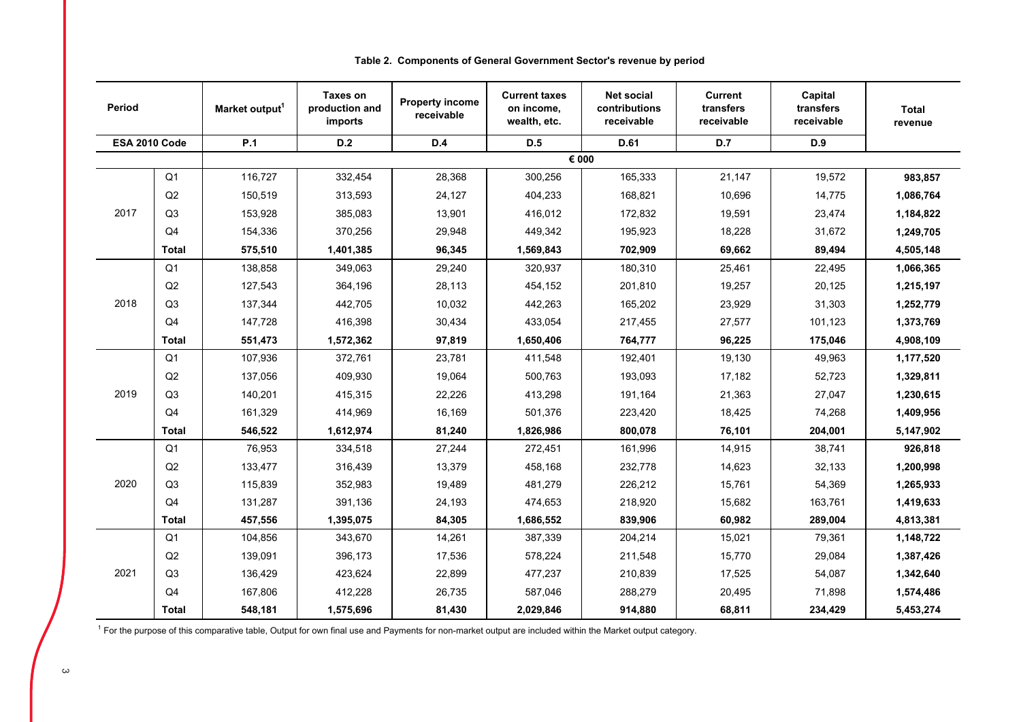| Period        |                | Market output <sup>1</sup> | <b>Taxes on</b><br>production and<br>imports | <b>Property income</b><br>receivable | <b>Current taxes</b><br>on income,<br>wealth, etc. | <b>Net social</b><br>contributions<br>receivable | <b>Current</b><br>transfers<br>receivable | Capital<br>transfers<br>receivable | <b>Total</b><br>revenue |
|---------------|----------------|----------------------------|----------------------------------------------|--------------------------------------|----------------------------------------------------|--------------------------------------------------|-------------------------------------------|------------------------------------|-------------------------|
| ESA 2010 Code |                | P.1                        | D.2                                          | D.4                                  | D.5                                                | D.61                                             | D.7                                       | D.9                                |                         |
|               |                |                            |                                              |                                      |                                                    | € 000                                            |                                           |                                    |                         |
|               | Q <sub>1</sub> | 116,727                    | 332,454                                      | 28,368                               | 300,256                                            | 165,333                                          | 21,147                                    | 19,572                             | 983,857                 |
|               | Q2             | 150,519                    | 313,593                                      | 24,127                               | 404,233                                            | 168,821                                          | 10,696                                    | 14,775                             | 1,086,764               |
| 2017          | Q3             | 153,928                    | 385,083                                      | 13,901                               | 416,012                                            | 172,832                                          | 19,591                                    | 23,474                             | 1,184,822               |
|               | Q <sub>4</sub> | 154,336                    | 370,256                                      | 29,948                               | 449,342                                            | 195,923                                          | 18,228                                    | 31,672                             | 1,249,705               |
|               | <b>Total</b>   | 575,510                    | 1,401,385                                    | 96,345                               | 1,569,843                                          | 702,909                                          | 69,662                                    | 89,494                             | 4,505,148               |
|               | Q <sub>1</sub> | 138,858                    | 349,063                                      | 29,240                               | 320,937                                            | 180,310                                          | 25,461                                    | 22,495                             | 1,066,365               |
|               | Q2             | 127,543                    | 364,196                                      | 28,113                               | 454,152                                            | 201,810                                          | 19,257                                    | 20,125                             | 1,215,197               |
| 2018          | Q3             | 137,344                    | 442,705                                      | 10,032                               | 442,263                                            | 165,202                                          | 23,929                                    | 31,303                             | 1,252,779               |
|               | Q <sub>4</sub> | 147,728                    | 416,398                                      | 30,434                               | 433,054                                            | 217,455                                          | 27,577                                    | 101.123                            | 1,373,769               |
|               | <b>Total</b>   | 551,473                    | 1,572,362                                    | 97,819                               | 1,650,406                                          | 764,777                                          | 96,225                                    | 175,046                            | 4,908,109               |
|               | Q <sub>1</sub> | 107,936                    | 372,761                                      | 23,781                               | 411,548                                            | 192,401                                          | 19,130                                    | 49,963                             | 1,177,520               |
|               | Q2             | 137,056                    | 409,930                                      | 19,064                               | 500,763                                            | 193,093                                          | 17,182                                    | 52,723                             | 1,329,811               |
| 2019          | Q <sub>3</sub> | 140,201                    | 415,315                                      | 22,226                               | 413,298                                            | 191,164                                          | 21,363                                    | 27,047                             | 1,230,615               |
|               | Q <sub>4</sub> | 161,329                    | 414,969                                      | 16,169                               | 501,376                                            | 223,420                                          | 18,425                                    | 74,268                             | 1,409,956               |
|               | <b>Total</b>   | 546,522                    | 1,612,974                                    | 81,240                               | 1,826,986                                          | 800,078                                          | 76,101                                    | 204,001                            | 5,147,902               |
|               | Q <sub>1</sub> | 76,953                     | 334,518                                      | 27,244                               | 272,451                                            | 161,996                                          | 14,915                                    | 38,741                             | 926,818                 |
|               | Q2             | 133,477                    | 316,439                                      | 13,379                               | 458,168                                            | 232,778                                          | 14,623                                    | 32,133                             | 1,200,998               |
| 2020          | Q <sub>3</sub> | 115,839                    | 352,983                                      | 19,489                               | 481,279                                            | 226,212                                          | 15,761                                    | 54,369                             | 1,265,933               |
|               | Q <sub>4</sub> | 131,287                    | 391,136                                      | 24,193                               | 474,653                                            | 218,920                                          | 15,682                                    | 163,761                            | 1,419,633               |
|               | <b>Total</b>   | 457,556                    | 1,395,075                                    | 84,305                               | 1,686,552                                          | 839,906                                          | 60,982                                    | 289,004                            | 4,813,381               |
|               | Q <sub>1</sub> | 104,856                    | 343,670                                      | 14,261                               | 387,339                                            | 204,214                                          | 15,021                                    | 79,361                             | 1,148,722               |
|               | Q2             | 139,091                    | 396,173                                      | 17,536                               | 578,224                                            | 211,548                                          | 15,770                                    | 29,084                             | 1,387,426               |
| 2021          | Q <sub>3</sub> | 136,429                    | 423,624                                      | 22,899                               | 477,237                                            | 210,839                                          | 17,525                                    | 54,087                             | 1,342,640               |
|               | Q <sub>4</sub> | 167,806                    | 412,228                                      | 26,735                               | 587,046                                            | 288,279                                          | 20,495                                    | 71,898                             | 1,574,486               |
|               | Total          | 548,181                    | 1,575,696                                    | 81,430                               | 2,029,846                                          | 914,880                                          | 68,811                                    | 234,429                            | 5,453,274               |

## **Table 2. Components of General Government Sector's revenue by period**

 $1$  For the purpose of this comparative table, Output for own final use and Payments for non-market output are included within the Market output category.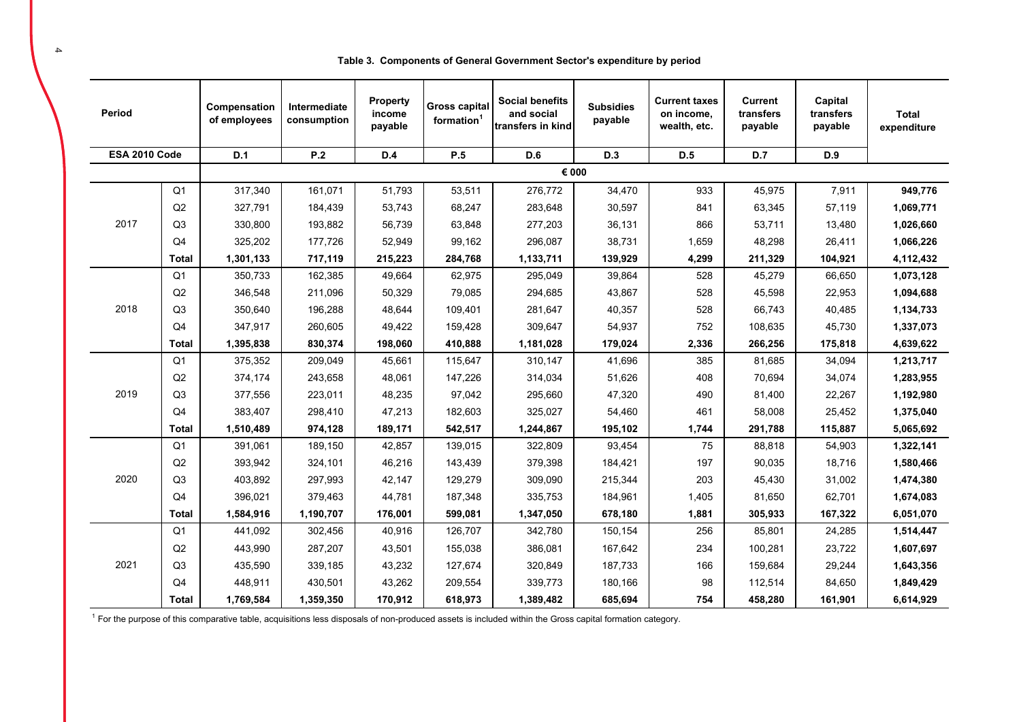| Table 3. Components of General Government Sector's expenditure by period |  |  |  |
|--------------------------------------------------------------------------|--|--|--|
|                                                                          |  |  |  |

| Period        |                | Compensation<br>of employees | Intermediate<br>consumption | Property<br>income<br>payable | <b>Gross capital</b><br>formation <sup>1</sup> | <b>Social benefits</b><br>and social<br>transfers in kind | <b>Subsidies</b><br>payable | <b>Current taxes</b><br>on income,<br>wealth, etc. | <b>Current</b><br>transfers<br>payable | Capital<br>transfers<br>payable | <b>Total</b><br>expenditure |
|---------------|----------------|------------------------------|-----------------------------|-------------------------------|------------------------------------------------|-----------------------------------------------------------|-----------------------------|----------------------------------------------------|----------------------------------------|---------------------------------|-----------------------------|
| ESA 2010 Code |                | D.1                          | P.2                         | D.4                           | P.5                                            | <b>D.6</b>                                                | D.3                         | D.5                                                | D.7                                    | D.9                             |                             |
|               |                |                              |                             |                               |                                                | € 000                                                     |                             |                                                    |                                        |                                 |                             |
|               | Q <sub>1</sub> | 317,340                      | 161,071                     | 51,793                        | 53,511                                         | 276,772                                                   | 34,470                      | 933                                                | 45,975                                 | 7,911                           | 949,776                     |
|               | Q2             | 327,791                      | 184,439                     | 53,743                        | 68,247                                         | 283,648                                                   | 30,597                      | 841                                                | 63,345                                 | 57,119                          | 1,069,771                   |
| 2017          | Q <sub>3</sub> | 330,800                      | 193,882                     | 56,739                        | 63,848                                         | 277,203                                                   | 36,131                      | 866                                                | 53,711                                 | 13,480                          | 1,026,660                   |
|               | Q <sub>4</sub> | 325,202                      | 177,726                     | 52,949                        | 99,162                                         | 296,087                                                   | 38,731                      | 1,659                                              | 48,298                                 | 26,411                          | 1,066,226                   |
|               | <b>Total</b>   | 1,301,133                    | 717,119                     | 215,223                       | 284,768                                        | 1,133,711                                                 | 139,929                     | 4,299                                              | 211,329                                | 104,921                         | 4,112,432                   |
|               | Q <sub>1</sub> | 350,733                      | 162,385                     | 49,664                        | 62,975                                         | 295,049                                                   | 39,864                      | 528                                                | 45,279                                 | 66,650                          | 1,073,128                   |
|               | Q2             | 346,548                      | 211,096                     | 50,329                        | 79,085                                         | 294,685                                                   | 43,867                      | 528                                                | 45,598                                 | 22,953                          | 1,094,688                   |
| 2018          | Q <sub>3</sub> | 350,640                      | 196,288                     | 48,644                        | 109.401                                        | 281,647                                                   | 40,357                      | 528                                                | 66,743                                 | 40,485                          | 1,134,733                   |
|               | Q <sub>4</sub> | 347,917                      | 260,605                     | 49,422                        | 159,428                                        | 309,647                                                   | 54,937                      | 752                                                | 108,635                                | 45,730                          | 1,337,073                   |
|               | <b>Total</b>   | 1,395,838                    | 830,374                     | 198,060                       | 410,888                                        | 1,181,028                                                 | 179,024                     | 2,336                                              | 266,256                                | 175,818                         | 4,639,622                   |
|               | Q <sub>1</sub> | 375,352                      | 209,049                     | 45,661                        | 115,647                                        | 310,147                                                   | 41,696                      | 385                                                | 81,685                                 | 34,094                          | 1,213,717                   |
|               | Q2             | 374,174                      | 243,658                     | 48,061                        | 147,226                                        | 314,034                                                   | 51,626                      | 408                                                | 70,694                                 | 34,074                          | 1,283,955                   |
| 2019          | Q <sub>3</sub> | 377,556                      | 223,011                     | 48,235                        | 97,042                                         | 295,660                                                   | 47,320                      | 490                                                | 81,400                                 | 22,267                          | 1,192,980                   |
|               | Q4             | 383,407                      | 298,410                     | 47,213                        | 182,603                                        | 325,027                                                   | 54,460                      | 461                                                | 58,008                                 | 25,452                          | 1,375,040                   |
|               | <b>Total</b>   | 1,510,489                    | 974,128                     | 189,171                       | 542,517                                        | 1,244,867                                                 | 195,102                     | 1,744                                              | 291,788                                | 115,887                         | 5,065,692                   |
|               | Q <sub>1</sub> | 391,061                      | 189,150                     | 42,857                        | 139,015                                        | 322,809                                                   | 93,454                      | 75                                                 | 88,818                                 | 54,903                          | 1,322,141                   |
|               | Q2             | 393,942                      | 324,101                     | 46,216                        | 143,439                                        | 379,398                                                   | 184,421                     | 197                                                | 90,035                                 | 18,716                          | 1,580,466                   |
| 2020          | Q <sub>3</sub> | 403,892                      | 297,993                     | 42,147                        | 129,279                                        | 309,090                                                   | 215,344                     | 203                                                | 45,430                                 | 31,002                          | 1,474,380                   |
|               | Q4             | 396,021                      | 379,463                     | 44,781                        | 187,348                                        | 335,753                                                   | 184,961                     | 1,405                                              | 81,650                                 | 62,701                          | 1,674,083                   |
|               | <b>Total</b>   | 1,584,916                    | 1,190,707                   | 176,001                       | 599,081                                        | 1,347,050                                                 | 678,180                     | 1,881                                              | 305,933                                | 167,322                         | 6,051,070                   |
|               | Q <sub>1</sub> | 441,092                      | 302,456                     | 40,916                        | 126,707                                        | 342,780                                                   | 150,154                     | 256                                                | 85,801                                 | 24,285                          | 1,514,447                   |
|               | Q2             | 443,990                      | 287,207                     | 43,501                        | 155,038                                        | 386,081                                                   | 167,642                     | 234                                                | 100,281                                | 23,722                          | 1,607,697                   |
| 2021          | Q <sub>3</sub> | 435,590                      | 339,185                     | 43,232                        | 127,674                                        | 320,849                                                   | 187,733                     | 166                                                | 159,684                                | 29,244                          | 1,643,356                   |
|               | Q4             | 448,911                      | 430,501                     | 43,262                        | 209,554                                        | 339,773                                                   | 180,166                     | 98                                                 | 112,514                                | 84,650                          | 1,849,429                   |
|               | <b>Total</b>   | 1,769,584                    | 1,359,350                   | 170,912                       | 618,973                                        | 1,389,482                                                 | 685,694                     | 754                                                | 458,280                                | 161,901                         | 6,614,929                   |

 $1$  For the purpose of this comparative table, acquisitions less disposals of non-produced assets is included within the Gross capital formation category.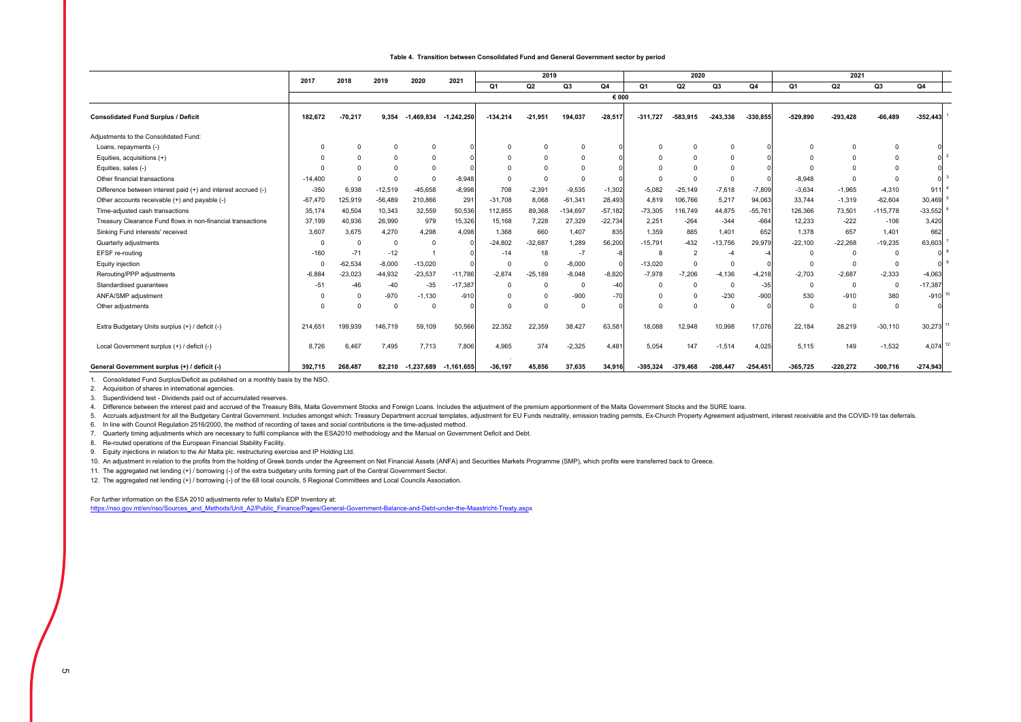#### **Table 4. Transition between Consolidated Fund and General Government sector by period**

|                                                               | 2017      | 2018      | 2019      | 2020         | 2021           |            | 2019      |            |           |            | 2020           |                |            | 2021       |                |            |            |  |
|---------------------------------------------------------------|-----------|-----------|-----------|--------------|----------------|------------|-----------|------------|-----------|------------|----------------|----------------|------------|------------|----------------|------------|------------|--|
|                                                               |           |           |           |              |                | Q1         | Q2        | Q3         | Q4        | Q1         | Q2             | Q <sub>3</sub> | Q4         | Q1         | Q2             | Q3         | Q4         |  |
|                                                               |           |           |           |              |                |            |           |            | € 000     |            |                |                |            |            |                |            |            |  |
| <b>Consolidated Fund Surplus / Deficit</b>                    | 182.672   | $-70.217$ | 9.354     | $-1.469.834$ | $-1.242.250$   | $-134.214$ | $-21.951$ | 194.037    | $-28,517$ | $-311.727$ | $-583.915$     | $-243.336$     | $-330.855$ | $-529.890$ | $-293.428$     | $-66.489$  | $-352.443$ |  |
| Adjustments to the Consolidated Fund:                         |           |           |           |              |                |            |           |            |           |            |                |                |            |            |                |            |            |  |
| Loans, repayments (-)                                         | $\Omega$  |           | $\Omega$  |              |                | $\Omega$   | $\Omega$  |            |           |            | $\Omega$       |                |            |            |                |            |            |  |
| Equities, acquisitions (+)                                    |           |           | $\Omega$  |              |                | $\Omega$   | $\Omega$  |            |           |            | $\Omega$       |                |            |            |                |            |            |  |
| Equities, sales (-)                                           |           |           |           |              |                |            |           |            |           |            |                |                |            |            |                |            |            |  |
| Other financial transactions                                  | $-14,400$ |           |           |              | $-8,948$       | $\Omega$   |           |            |           |            |                |                |            | $-8,948$   |                |            |            |  |
| Difference between interest paid (+) and interest accrued (-) | $-350$    | 6,938     | $-12,519$ | $-45.658$    | $-8,998$       | 708        | $-2,391$  | $-9,535$   | $-1,302$  | $-5,082$   | $-25,149$      | $-7,618$       | $-7,809$   | $-3,634$   | $-1,965$       | $-4,310$   | 911        |  |
| Other accounts receivable (+) and payable (-)                 | $-67,470$ | 125,919   | $-56,489$ | 210,866      | 291            | $-31,708$  | 8.068     | $-61,341$  | 28,493    | 4,819      | 106,766        | 5,217          | 94,063     | 33,744     | $-1,319$       | $-62,604$  | 30,469     |  |
| Time-adjusted cash transactions                               | 35,174    | 40,504    | 10,343    | 32,559       | 50,536         | 112,855    | 89,368    | $-134,697$ | $-57,182$ | $-73,305$  | 116,749        | 44,875         | $-55,761$  | 126,366    | 73,501         | $-115,778$ | $-33,552$  |  |
| Treasury Clearance Fund flows in non-financial transactions   | 37,199    | 40,936    | 26,990    | 979          | 15,326         | 15,168     | 7,228     | 27,329     | $-22,734$ | 2,251      | $-264$         | $-344$         | $-664$     | 12,233     | $-222$         | $-106$     | 3,420      |  |
| Sinking Fund interests' received                              | 3,607     | 3.675     | 4,270     | 4,298        | 4,098          | 1,368      | 660       | 1.407      | 835       | 1.359      | 885            | 1.401          | 652        | 1.378      | 657            | 1.401      | 662        |  |
| Quarterly adjustments                                         | n         |           | $\Omega$  |              |                | $-24,802$  | $-32.687$ | 1,289      | 56,200    | $-15,791$  | $-432$         | $-13,756$      | 29,979     | $-22,100$  | $-22,268$      | $-19,235$  | 63,603     |  |
| EFSF re-routing                                               | $-160$    | $-71$     | $-12$     |              |                | $-14$      | 18        | -7         |           |            | $\overline{2}$ |                |            | $\Omega$   | $^{\circ}$     | $\Omega$   |            |  |
| Equity injection                                              | $\Omega$  | $-62,534$ | $-8,000$  | $-13.020$    |                | $^{\circ}$ | $\Omega$  | $-8,000$   |           | $-13,020$  | $\Omega$       |                |            | $\Omega$   | $\Omega$       | $\Omega$   |            |  |
| Rerouting/PPP adjustments                                     | $-6.884$  | $-23,023$ | $-44,932$ | $-23,537$    | $-11,786$      | $-2,874$   | $-25,189$ | $-8,048$   | $-8.820$  | $-7,978$   | $-7,206$       | $-4.136$       | $-4,218$   | $-2,703$   | $-2,687$       | $-2,333$   | $-4,063$   |  |
| Standardised guarantees                                       | $-51$     | $-46$     | $-40$     | $-35$        | $-17,387$      | $\Omega$   | $\Omega$  | $\Omega$   | $-40$     |            | $\Omega$       |                | $-35$      | $\Omega$   | $\overline{0}$ | $\Omega$   | $-17,387$  |  |
| ANFA/SMP adjustment                                           |           |           | $-970$    | $-1,130$     | $-910$         | $\Omega$   |           | $-900$     | $-70$     |            | $\Omega$       | $-230$         | $-900$     | 530        | $-910$         | 380        | $-910$     |  |
| Other adjustments                                             | $\Omega$  |           | $\Omega$  | $\Omega$     |                | $\Omega$   |           |            |           |            | $\Omega$       | $\Omega$       |            | $\Omega$   | $\Omega$       | $\Omega$   |            |  |
| Extra Budgetary Units surplus (+) / deficit (-)               | 214,651   | 199.939   | 146.719   | 59.109       | 50,566         | 22.352     | 22.359    | 38.427     | 63,58     | 18.088     | 12,948         | 10.998         | 17,076     | 22.184     | 28.219         | $-30,110$  | 30,273     |  |
| Local Government surplus (+) / deficit (-)                    | 8.726     | 6,467     | 7,495     | 7,713        | 7,806          | 4,965      | 374       | $-2,325$   | 4,481     | 5,054      | 147            | $-1,514$       | 4,025      | 5,115      | 149            | $-1,532$   | 4,074      |  |
| General Government surplus (+) / deficit (-)                  | 392.715   | 268.487   | 82.210    | -1,237,689   | $-1, 161, 655$ | $-36.197$  | 45.856    | 37.635     | 34,916    | $-395.324$ | $-379.468$     | $-208.447$     | $-254,451$ | $-365.725$ | $-220.272$     | $-300,716$ | $-274,943$ |  |

1. Consolidated Fund Surplus/Deficit as published on a monthly basis by the NSO.

2. Acquisition of shares in international agencies.

2. Superdividend test - Dividends paid out of accumulated reserves.

4. Difference between the interest paid and accrued of the Treasury Bills, Malta Government Stocks and Foreign Loans. Includes the adjustment of the premium apportionment of the Malta Government Stocks and the SURE loans.

5. Accruals adjustment for all the Budgetary Central Government. Includes amongst which: Treasury Department accrual templates, adjustment for EU Funds neutrality, emission trading permits, Ex-Church Property Agreement adj

6. In line with Council Regulation 2516/2000, the method of recording of taxes and social contributions is the time-adjusted method.

7. Quarterly timing adjustments which are necessary to fulfil compliance with the ESA2010 methodology and the Manual on Government Deficit and Debt.

8. Re-routed operations of the European Financial Stability Facility.

9. Equity injections in relation to the Air Malta plc. restructuring exercise and IP Holding Ltd.

10. An adjustment in relation to the profits from the holding of Greek bonds under the Agreement on Net Financial Assets (ANFA) and Securities Markets Programme (SMP), which profits were transferred back to Greece.

11. The aggregated net lending (+) / borrowing (-) of the extra budgetary units forming part of the Central Government Sector.

12. The aggregated net lending (+) / borrowing (-) of the 68 local councils, 5 Regional Committees and Local Councils Association.

For further information on the ESA 2010 adjustments refer to Malta's EDP Inventory at:

https://nso.gov.mt/en/nso/Sources\_and\_Methods/Unit\_A2/Public\_Finance/Pages/General-Government-Balance-and-Debt-under-the-Maastricht-Treaty.aspx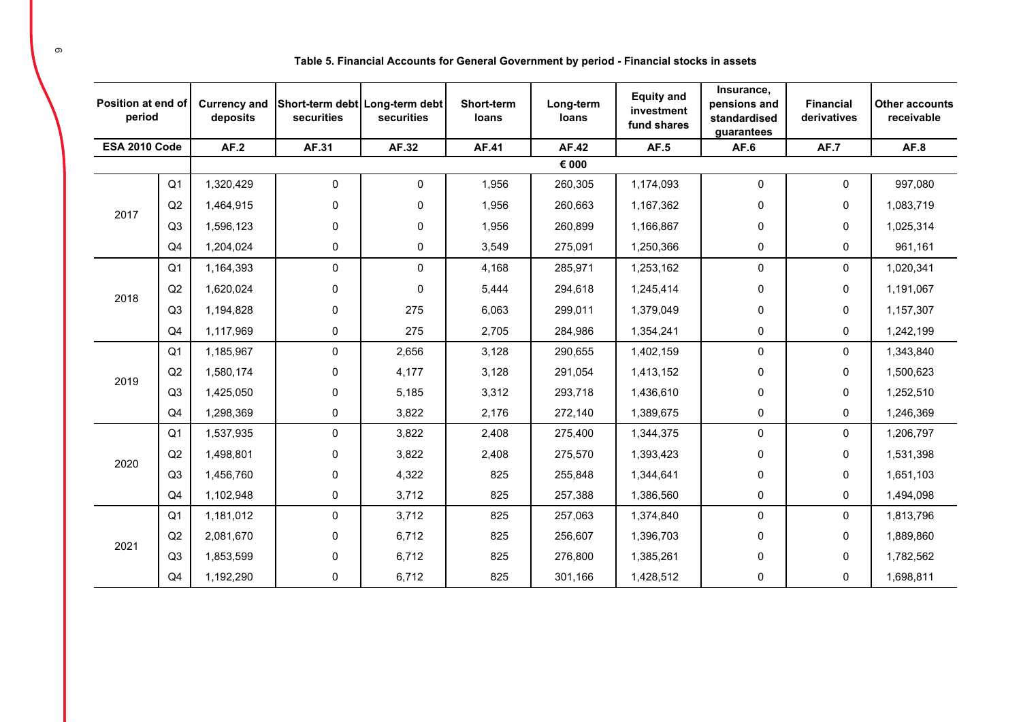| Position at end of<br>period |                | <b>Currency and</b><br>deposits | Short-term debt Long-term debt<br>securities | securities  | Short-term<br>loans | Long-term<br>loans | <b>Equity and</b><br>investment<br>fund shares | Insurance,<br>pensions and<br>standardised<br>guarantees | <b>Financial</b><br>derivatives | <b>Other accounts</b><br>receivable |
|------------------------------|----------------|---------------------------------|----------------------------------------------|-------------|---------------------|--------------------|------------------------------------------------|----------------------------------------------------------|---------------------------------|-------------------------------------|
| <b>ESA 2010 Code</b>         |                | AF.2                            | AF.31                                        | AF.32       | AF.41               | AF.42              | AF.5                                           | AF.6                                                     | <b>AF.7</b>                     | AF.8                                |
|                              |                |                                 |                                              |             |                     | € 000              |                                                |                                                          |                                 |                                     |
|                              | Q <sub>1</sub> | 1,320,429                       | 0                                            | $\mathbf 0$ | 1,956               | 260,305            | 1,174,093                                      | 0                                                        | 0                               | 997,080                             |
| 2017                         | Q2             | 1,464,915                       | 0                                            | $\mathbf 0$ | 1,956               | 260,663            | 1,167,362                                      | 0                                                        | 0                               | 1,083,719                           |
|                              | Q3             | 1,596,123                       | 0                                            | 0           | 1,956               | 260,899            | 1,166,867                                      | 0                                                        | 0                               | 1,025,314                           |
|                              | Q <sub>4</sub> | 1.204.024                       | 0                                            | 0           | 3,549               | 275,091            | 1,250,366                                      | 0                                                        | 0                               | 961,161                             |
|                              | Q <sub>1</sub> | 1,164,393                       | 0                                            | $\mathbf 0$ | 4,168               | 285,971            | 1,253,162                                      | 0                                                        | 0                               | 1,020,341                           |
|                              | Q2             | 1,620,024                       | 0                                            | $\mathbf 0$ | 5,444               | 294,618            | 1,245,414                                      | 0                                                        | 0                               | 1,191,067                           |
| 2018                         | Q <sub>3</sub> | 1,194,828                       | 0                                            | 275         | 6,063               | 299,011            | 1,379,049                                      | 0                                                        | 0                               | 1,157,307                           |
|                              | Q <sub>4</sub> | 1,117,969                       | 0                                            | 275         | 2,705               | 284,986            | 1,354,241                                      | 0                                                        | 0                               | 1,242,199                           |
|                              | Q <sub>1</sub> | 1,185,967                       | 0                                            | 2,656       | 3,128               | 290,655            | 1,402,159                                      | 0                                                        | 0                               | 1,343,840                           |
|                              | Q2             | 1,580,174                       | 0                                            | 4,177       | 3,128               | 291,054            | 1,413,152                                      | 0                                                        | 0                               | 1,500,623                           |
| 2019                         | Q3             | 1,425,050                       | 0                                            | 5,185       | 3,312               | 293,718            | 1,436,610                                      | $\pmb{0}$                                                | 0                               | 1,252,510                           |
|                              | Q <sub>4</sub> | 1,298,369                       | 0                                            | 3,822       | 2,176               | 272,140            | 1,389,675                                      | 0                                                        | 0                               | 1,246,369                           |
|                              | Q <sub>1</sub> | 1,537,935                       | 0                                            | 3,822       | 2,408               | 275,400            | 1,344,375                                      | $\pmb{0}$                                                | 0                               | 1,206,797                           |
| 2020                         | Q2             | 1,498,801                       | 0                                            | 3,822       | 2,408               | 275,570            | 1,393,423                                      | 0                                                        | 0                               | 1,531,398                           |
|                              | Q <sub>3</sub> | 1,456,760                       | 0                                            | 4,322       | 825                 | 255,848            | 1,344,641                                      | 0                                                        | 0                               | 1,651,103                           |
|                              | Q <sub>4</sub> | 1,102,948                       | 0                                            | 3,712       | 825                 | 257,388            | 1,386,560                                      | $\pmb{0}$                                                | 0                               | 1,494,098                           |
|                              | Q <sub>1</sub> | 1,181,012                       | 0                                            | 3,712       | 825                 | 257,063            | 1,374,840                                      | 0                                                        | 0                               | 1,813,796                           |
|                              | Q2             | 2,081,670                       | 0                                            | 6,712       | 825                 | 256,607            | 1,396,703                                      | 0                                                        | 0                               | 1,889,860                           |
| 2021                         | Q3             | 1,853,599                       | 0                                            | 6,712       | 825                 | 276,800            | 1,385,261                                      | 0                                                        | 0                               | 1,782,562                           |
|                              | Q <sub>4</sub> | 1,192,290                       | 0                                            | 6,712       | 825                 | 301,166            | 1,428,512                                      | $\mathbf 0$                                              | 0                               | 1,698,811                           |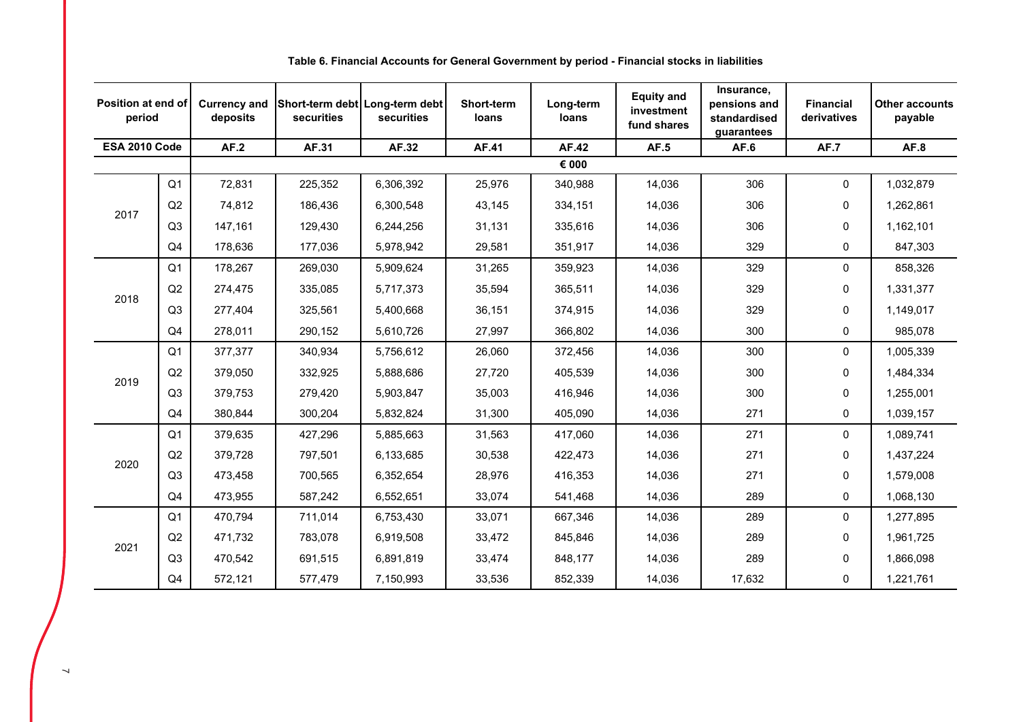| Position at end of<br>period |                | <b>Currency and</b><br>deposits | securities | Short-term debt Long-term debt<br>securities | <b>Short-term</b><br>loans | Long-term<br>loans | <b>Equity and</b><br>investment<br>fund shares | Insurance,<br>pensions and<br>standardised<br>guarantees | <b>Financial</b><br>derivatives | <b>Other accounts</b><br>payable |
|------------------------------|----------------|---------------------------------|------------|----------------------------------------------|----------------------------|--------------------|------------------------------------------------|----------------------------------------------------------|---------------------------------|----------------------------------|
| ESA 2010 Code                |                | AF.2                            | AF.31      | AF.32                                        | AF.41                      | <b>AF.42</b>       | AF.5                                           | AF.6                                                     | <b>AF.7</b>                     | AF.8                             |
|                              |                |                                 |            |                                              |                            | $\epsilon$ 000     |                                                |                                                          |                                 |                                  |
|                              | Q <sub>1</sub> | 72,831                          | 225,352    | 6,306,392                                    | 25,976                     | 340,988            | 14,036                                         | 306                                                      | 0                               | 1,032,879                        |
| 2017                         | Q2             | 74,812                          | 186,436    | 6,300,548                                    | 43,145                     | 334,151            | 14,036                                         | 306                                                      | 0                               | 1,262,861                        |
|                              | Q <sub>3</sub> | 147,161                         | 129,430    | 6,244,256                                    | 31,131                     | 335,616            | 14,036                                         | 306                                                      | 0                               | 1,162,101                        |
|                              | Q4             | 178,636                         | 177,036    | 5,978,942                                    | 29,581                     | 351,917            | 14,036                                         | 329                                                      | 0                               | 847,303                          |
|                              | Q <sub>1</sub> | 178,267                         | 269,030    | 5,909,624                                    | 31,265                     | 359,923            | 14,036                                         | 329                                                      | 0                               | 858,326                          |
|                              | Q2             | 274,475                         | 335,085    | 5,717,373                                    | 35,594                     | 365,511            | 14,036                                         | 329                                                      | 0                               | 1,331,377                        |
| 2018                         | Q <sub>3</sub> | 277,404                         | 325,561    | 5,400,668                                    | 36,151                     | 374,915            | 14,036                                         | 329                                                      | 0                               | 1,149,017                        |
|                              | Q4             | 278,011                         | 290,152    | 5,610,726                                    | 27,997                     | 366,802            | 14,036                                         | 300                                                      | 0                               | 985,078                          |
|                              | Q <sub>1</sub> | 377,377                         | 340,934    | 5,756,612                                    | 26,060                     | 372,456            | 14,036                                         | 300                                                      | 0                               | 1,005,339                        |
| 2019                         | Q2             | 379,050                         | 332,925    | 5,888,686                                    | 27,720                     | 405,539            | 14,036                                         | 300                                                      | 0                               | 1,484,334                        |
|                              | Q3             | 379,753                         | 279,420    | 5,903,847                                    | 35,003                     | 416,946            | 14,036                                         | 300                                                      | 0                               | 1,255,001                        |
|                              | Q <sub>4</sub> | 380,844                         | 300,204    | 5,832,824                                    | 31,300                     | 405,090            | 14,036                                         | 271                                                      | 0                               | 1,039,157                        |
|                              | Q <sub>1</sub> | 379,635                         | 427,296    | 5,885,663                                    | 31,563                     | 417,060            | 14,036                                         | 271                                                      | 0                               | 1,089,741                        |
| 2020                         | Q2             | 379,728                         | 797,501    | 6,133,685                                    | 30,538                     | 422,473            | 14,036                                         | 271                                                      | 0                               | 1,437,224                        |
|                              | Q3             | 473,458                         | 700,565    | 6,352,654                                    | 28,976                     | 416,353            | 14,036                                         | 271                                                      | 0                               | 1,579,008                        |
|                              | Q4             | 473,955                         | 587,242    | 6,552,651                                    | 33,074                     | 541,468            | 14,036                                         | 289                                                      | 0                               | 1,068,130                        |
|                              | Q <sub>1</sub> | 470,794                         | 711,014    | 6,753,430                                    | 33,071                     | 667,346            | 14,036                                         | 289                                                      | 0                               | 1,277,895                        |
|                              | Q2             | 471,732                         | 783,078    | 6,919,508                                    | 33,472                     | 845,846            | 14,036                                         | 289                                                      | 0                               | 1,961,725                        |
| 2021                         | Q <sub>3</sub> | 470,542                         | 691,515    | 6,891,819                                    | 33,474                     | 848,177            | 14,036                                         | 289                                                      | 0                               | 1,866,098                        |
|                              | Q4             | 572,121                         | 577,479    | 7,150,993                                    | 33,536                     | 852,339            | 14,036                                         | 17,632                                                   | 0                               | 1,221,761                        |

## **Table 6. Financial Accounts for General Government by period - Financial stocks in liabilities**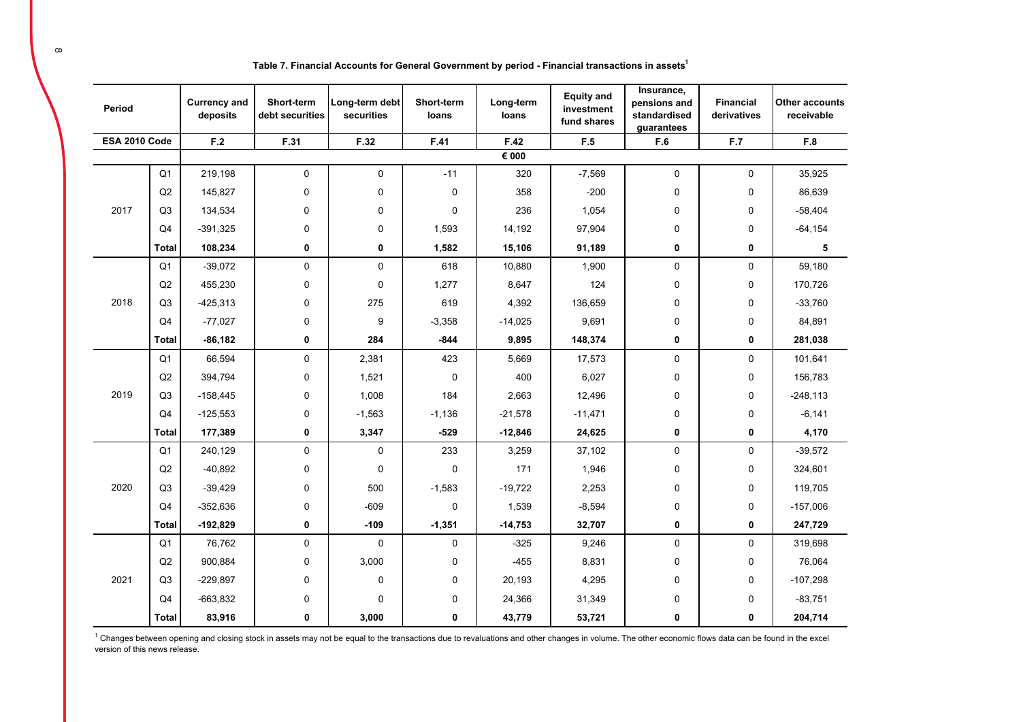| Table 7. Financial Accounts for General Government by period - Financial transactions in assets $^{\text{\tiny{\textsf{I}}}}$ |  |
|-------------------------------------------------------------------------------------------------------------------------------|--|
|-------------------------------------------------------------------------------------------------------------------------------|--|

| Period               |                | <b>Currency and</b><br>deposits | Short-term<br>debt securities | Long-term debt<br>securities | Short-term<br>loans | Long-term<br>loans | <b>Equity and</b><br>investment<br>fund shares | Insurance,<br>pensions and<br>standardised<br>guarantees | <b>Financial</b><br>derivatives | <b>Other accounts</b><br>receivable |
|----------------------|----------------|---------------------------------|-------------------------------|------------------------------|---------------------|--------------------|------------------------------------------------|----------------------------------------------------------|---------------------------------|-------------------------------------|
| <b>ESA 2010 Code</b> |                | F.2                             | F.31                          | F.32                         | F.41                | F.42               | F.5                                            | F.6                                                      | F.7                             | F.8                                 |
|                      |                |                                 |                               |                              |                     | € 000              |                                                |                                                          |                                 |                                     |
|                      | Q <sub>1</sub> | 219,198                         | $\mathbf 0$                   | $\mathbf 0$                  | $-11$               | 320                | $-7,569$                                       | $\mathbf 0$                                              | 0                               | 35,925                              |
|                      | Q2             | 145,827                         | 0                             | 0                            | $\mathbf 0$         | 358                | $-200$                                         | $\mathbf 0$                                              | 0                               | 86,639                              |
| 2017                 | Q <sub>3</sub> | 134,534                         | 0                             | 0                            | $\mathbf 0$         | 236                | 1,054                                          | $\mathbf 0$                                              | 0                               | $-58,404$                           |
|                      | Q <sub>4</sub> | $-391,325$                      | 0                             | 0                            | 1,593               | 14,192             | 97,904                                         | $\mathbf 0$                                              | 0                               | $-64, 154$                          |
|                      | <b>Total</b>   | 108,234                         | $\mathbf 0$                   | 0                            | 1,582               | 15,106             | 91,189                                         | 0                                                        | 0                               | 5                                   |
|                      | Q <sub>1</sub> | $-39,072$                       | 0                             | $\pmb{0}$                    | 618                 | 10,880             | 1,900                                          | $\pmb{0}$                                                | 0                               | 59,180                              |
|                      | Q2             | 455,230                         | 0                             | 0                            | 1,277               | 8,647              | 124                                            | $\mathbf 0$                                              | 0                               | 170,726                             |
| 2018                 | Q <sub>3</sub> | $-425,313$                      | 0                             | 275                          | 619                 | 4,392              | 136,659                                        | $\mathbf 0$                                              | 0                               | $-33,760$                           |
|                      | Q <sub>4</sub> | $-77,027$                       | 0                             | 9                            | $-3,358$            | $-14,025$          | 9,691                                          | $\mathbf 0$                                              | 0                               | 84,891                              |
|                      | <b>Total</b>   | $-86,182$                       | 0                             | 284                          | $-844$              | 9,895              | 148,374                                        | $\mathbf 0$                                              | 0                               | 281,038                             |
|                      | Q <sub>1</sub> | 66,594                          | 0                             | 2,381                        | 423                 | 5,669              | 17,573                                         | $\mathbf 0$                                              | 0                               | 101,641                             |
|                      | Q2             | 394,794                         | $\mathbf 0$                   | 1,521                        | $\mathbf 0$         | 400                | 6,027                                          | $\pmb{0}$                                                | 0                               | 156,783                             |
| 2019                 | Q <sub>3</sub> | $-158,445$                      | $\mathbf 0$                   | 1,008                        | 184                 | 2,663              | 12,496                                         | 0                                                        | $\mathbf 0$                     | $-248, 113$                         |
|                      | Q <sub>4</sub> | $-125,553$                      | $\mathbf 0$                   | $-1,563$                     | $-1,136$            | $-21,578$          | $-11,471$                                      | $\mathbf 0$                                              | 0                               | $-6,141$                            |
|                      | <b>Total</b>   | 177,389                         | 0                             | 3,347                        | $-529$              | $-12,846$          | 24,625                                         | $\mathbf 0$                                              | 0                               | 4,170                               |
|                      | Q <sub>1</sub> | 240,129                         | $\mathbf 0$                   | $\mathbf 0$                  | 233                 | 3,259              | 37,102                                         | $\mathbf 0$                                              | 0                               | $-39,572$                           |
|                      | Q2             | $-40,892$                       | 0                             | $\mathbf 0$                  | $\mathbf 0$         | 171                | 1,946                                          | 0                                                        | 0                               | 324,601                             |
| 2020                 | Q <sub>3</sub> | $-39,429$                       | 0                             | 500                          | $-1,583$            | $-19,722$          | 2,253                                          | $\mathbf 0$                                              | 0                               | 119,705                             |
|                      | Q <sub>4</sub> | $-352,636$                      | 0                             | $-609$                       | $\mathbf 0$         | 1,539              | $-8,594$                                       | $\mathbf 0$                                              | 0                               | $-157,006$                          |
|                      | <b>Total</b>   | $-192,829$                      | 0                             | $-109$                       | $-1,351$            | $-14,753$          | 32,707                                         | $\mathbf 0$                                              | 0                               | 247,729                             |
|                      | Q <sub>1</sub> | 76,762                          | 0                             | $\mathbf 0$                  | 0                   | $-325$             | 9,246                                          | $\pmb{0}$                                                | 0                               | 319,698                             |
|                      | Q2             | 900,884                         | 0                             | 3,000                        | 0                   | $-455$             | 8,831                                          | $\mathbf 0$                                              | 0                               | 76,064                              |
| 2021                 | Q <sub>3</sub> | $-229,897$                      | 0                             | 0                            | 0                   | 20,193             | 4,295                                          | $\mathbf 0$                                              | 0                               | $-107,298$                          |
|                      | Q <sub>4</sub> | $-663,832$                      | 0                             | 0                            | 0                   | 24,366             | 31,349                                         | 0                                                        | 0                               | $-83,751$                           |
|                      | Total          | 83,916                          | 0                             | 3,000                        | 0                   | 43,779             | 53,721                                         | 0                                                        | 0                               | 204,714                             |

<sup>1</sup> Changes between opening and closing stock in assets may not be equal to the transactions due to revaluations and other changes in volume. The other economic flows data can be found in the excel<br>version of this news rel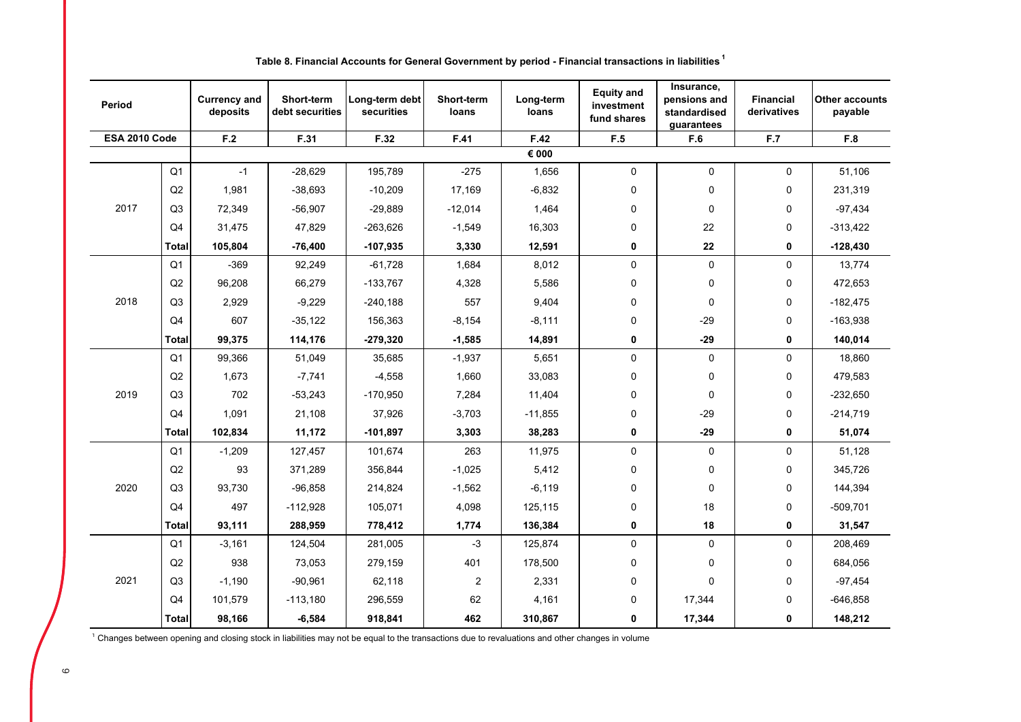| Period        |                | <b>Currency and</b><br>deposits | Short-term<br>debt securities | Long-term debt<br>securities | Short-term<br>loans | Long-term<br>loans | <b>Equity and</b><br>investment<br>fund shares | Insurance,<br>pensions and<br>standardised<br>guarantees | <b>Financial</b><br>derivatives | <b>Other accounts</b><br>payable |
|---------------|----------------|---------------------------------|-------------------------------|------------------------------|---------------------|--------------------|------------------------------------------------|----------------------------------------------------------|---------------------------------|----------------------------------|
| ESA 2010 Code |                | F.2                             | F.31                          | F.32                         | F.41                | F.42               | F.5                                            | F.6                                                      | F.7                             | F.8                              |
|               |                |                                 |                               |                              |                     | € 000              |                                                |                                                          |                                 |                                  |
|               | Q <sub>1</sub> | $-1$                            | $-28,629$                     | 195,789                      | $-275$              | 1,656              | 0                                              | 0                                                        | 0                               | 51,106                           |
|               | Q2             | 1,981                           | $-38,693$                     | $-10,209$                    | 17,169              | $-6,832$           | 0                                              | 0                                                        | 0                               | 231,319                          |
| 2017          | Q <sub>3</sub> | 72,349                          | $-56,907$                     | $-29,889$                    | $-12,014$           | 1,464              | 0                                              | 0                                                        | 0                               | $-97,434$                        |
|               | Q4             | 31,475                          | 47,829                        | $-263,626$                   | $-1,549$            | 16,303             | 0                                              | 22                                                       | 0                               | $-313,422$                       |
|               | <b>Total</b>   | 105,804                         | $-76,400$                     | $-107,935$                   | 3,330               | 12,591             | 0                                              | 22                                                       | 0                               | $-128,430$                       |
|               | Q1             | $-369$                          | 92,249                        | $-61,728$                    | 1,684               | 8,012              | 0                                              | 0                                                        | 0                               | 13,774                           |
|               | Q2             | 96,208                          | 66,279                        | -133,767                     | 4,328               | 5,586              | 0                                              | 0                                                        | 0                               | 472,653                          |
| 2018          | Q <sub>3</sub> | 2,929                           | $-9,229$                      | $-240,188$                   | 557                 | 9,404              | 0                                              | 0                                                        | 0                               | $-182,475$                       |
|               | Q4             | 607                             | $-35,122$                     | 156,363                      | $-8,154$            | $-8,111$           | 0                                              | $-29$                                                    | 0                               | $-163,938$                       |
|               | <b>Total</b>   | 99,375                          | 114,176                       | $-279,320$                   | $-1,585$            | 14,891             | 0                                              | $-29$                                                    | 0                               | 140,014                          |
|               | Q <sub>1</sub> | 99,366                          | 51,049                        | 35,685                       | $-1,937$            | 5,651              | 0                                              | 0                                                        | 0                               | 18,860                           |
|               | Q2             | 1,673                           | $-7,741$                      | $-4,558$                     | 1,660               | 33,083             | 0                                              | 0                                                        | 0                               | 479,583                          |
| 2019          | Q <sub>3</sub> | 702                             | $-53,243$                     | $-170,950$                   | 7,284               | 11,404             | 0                                              | 0                                                        | 0                               | $-232,650$                       |
|               | Q4             | 1,091                           | 21,108                        | 37,926                       | $-3,703$            | $-11,855$          | 0                                              | $-29$                                                    | 0                               | $-214,719$                       |
|               | <b>Total</b>   | 102,834                         | 11,172                        | $-101,897$                   | 3,303               | 38,283             | 0                                              | $-29$                                                    | 0                               | 51,074                           |
|               | Q1             | $-1,209$                        | 127,457                       | 101,674                      | 263                 | 11,975             | 0                                              | 0                                                        | 0                               | 51,128                           |
|               | Q <sub>2</sub> | 93                              | 371,289                       | 356,844                      | $-1,025$            | 5,412              | 0                                              | 0                                                        | 0                               | 345,726                          |
| 2020          | Q <sub>3</sub> | 93,730                          | $-96,858$                     | 214,824                      | $-1,562$            | $-6,119$           | 0                                              | 0                                                        | 0                               | 144,394                          |
|               | Q4             | 497                             | $-112,928$                    | 105,071                      | 4,098               | 125,115            | 0                                              | 18                                                       | 0                               | $-509,701$                       |
|               | Total          | 93,111                          | 288,959                       | 778,412                      | 1,774               | 136,384            | 0                                              | 18                                                       | 0                               | 31,547                           |
|               | Q <sub>1</sub> | $-3,161$                        | 124,504                       | 281,005                      | -3                  | 125,874            | 0                                              | 0                                                        | 0                               | 208,469                          |
|               | Q2             | 938                             | 73,053                        | 279,159                      | 401                 | 178,500            | 0                                              | 0                                                        | 0                               | 684,056                          |
| 2021          | Q <sub>3</sub> | $-1,190$                        | $-90,961$                     | 62,118                       | 2                   | 2,331              | 0                                              | 0                                                        | 0                               | $-97,454$                        |
|               | Q4             | 101,579                         | $-113,180$                    | 296,559                      | 62                  | 4,161              | 0                                              | 17,344                                                   | 0                               | $-646,858$                       |
|               | <b>Total</b>   | 98,166                          | $-6,584$                      | 918,841                      | 462                 | 310,867            | 0                                              | 17,344                                                   | 0                               | 148,212                          |

## **Table 8. Financial Accounts for General Government by period - Financial transactions in liabilities <sup>1</sup>**

 $1$  Changes between opening and closing stock in liabilities may not be equal to the transactions due to revaluations and other changes in volume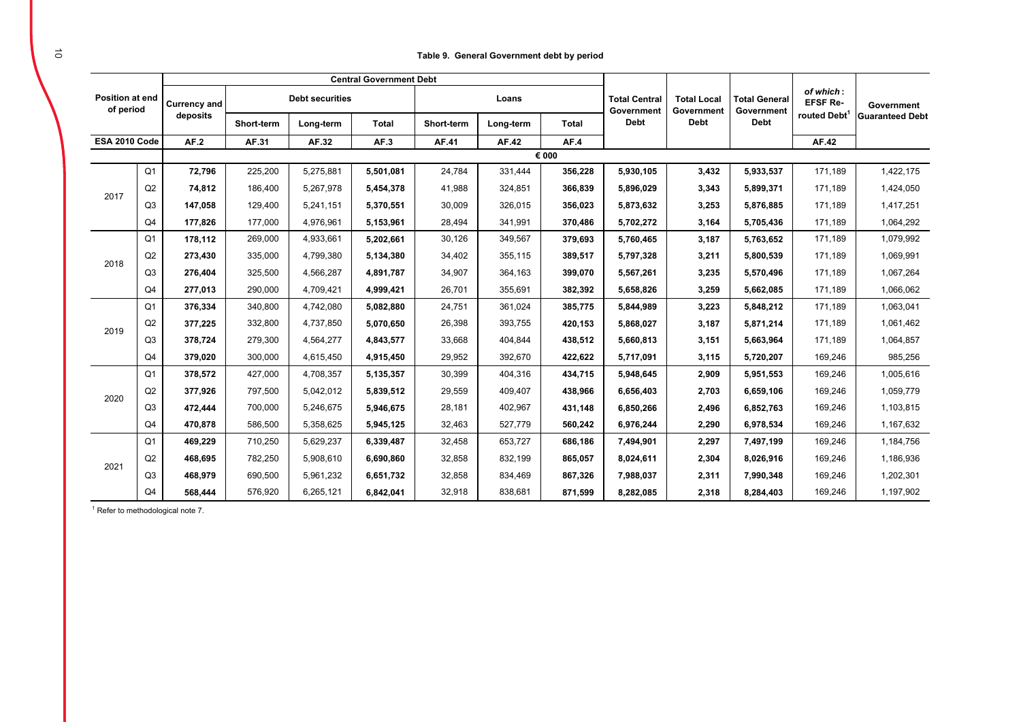### **Table 9. General Government debt by period**

|                                     |                |                     |            |                        | <b>Central Government Debt</b> |            |           |              |                                    |                                  |                                    |                              |                        |
|-------------------------------------|----------------|---------------------|------------|------------------------|--------------------------------|------------|-----------|--------------|------------------------------------|----------------------------------|------------------------------------|------------------------------|------------------------|
| <b>Position at end</b><br>of period |                | <b>Currency and</b> |            | <b>Debt securities</b> |                                |            | Loans     |              | <b>Total Central</b><br>Government | <b>Total Local</b><br>Government | <b>Total General</b><br>Government | of which:<br><b>EFSF Re-</b> | Government             |
|                                     |                | deposits            | Short-term | Long-term              | <b>Total</b>                   | Short-term | Long-term | <b>Total</b> | <b>Debt</b>                        | <b>Debt</b>                      | <b>Debt</b>                        | routed Debt <sup>1</sup>     | <b>Guaranteed Debt</b> |
| ESA 2010 Code                       |                | AF.2                | AF.31      | AF.32                  | AF.3                           | AF.41      | AF.42     | AF.4         |                                    |                                  |                                    | AF.42                        |                        |
|                                     |                |                     |            |                        |                                |            |           | € 000        |                                    |                                  |                                    |                              |                        |
|                                     | Q <sub>1</sub> | 72,796              | 225,200    | 5,275,881              | 5.501.081                      | 24,784     | 331,444   | 356,228      | 5,930,105                          | 3,432                            | 5,933,537                          | 171,189                      | 1,422,175              |
| 2017                                | Q2             | 74.812              | 186,400    | 5,267,978              | 5,454,378                      | 41,988     | 324,851   | 366,839      | 5,896,029                          | 3,343                            | 5,899,371                          | 171,189                      | 1,424,050              |
|                                     | Q <sub>3</sub> | 147,058             | 129,400    | 5,241,151              | 5,370,551                      | 30,009     | 326,015   | 356,023      | 5,873,632                          | 3,253                            | 5,876,885                          | 171,189                      | 1,417,251              |
|                                     | Q <sub>4</sub> | 177,826             | 177,000    | 4,976,961              | 5,153,961                      | 28,494     | 341,991   | 370,486      | 5,702,272                          | 3,164                            | 5,705,436                          | 171,189                      | 1,064,292              |
|                                     | Q <sub>1</sub> | 178.112             | 269,000    | 4,933,661              | 5,202,661                      | 30,126     | 349,567   | 379,693      | 5,760,465                          | 3,187                            | 5,763,652                          | 171,189                      | 1,079,992              |
|                                     | Q2             | 273,430             | 335,000    | 4,799,380              | 5,134,380                      | 34,402     | 355,115   | 389,517      | 5,797,328                          | 3,211                            | 5,800,539                          | 171,189                      | 1,069,991              |
| 2018                                | Q <sub>3</sub> | 276.404             | 325,500    | 4,566,287              | 4,891,787                      | 34,907     | 364,163   | 399,070      | 5,567,261                          | 3,235                            | 5.570.496                          | 171,189                      | 1,067,264              |
|                                     | Q <sub>4</sub> | 277.013             | 290,000    | 4,709,421              | 4,999,421                      | 26,701     | 355,691   | 382,392      | 5,658,826                          | 3,259                            | 5,662,085                          | 171,189                      | 1,066,062              |
|                                     | Q <sub>1</sub> | 376,334             | 340,800    | 4,742,080              | 5,082,880                      | 24,751     | 361,024   | 385,775      | 5,844,989                          | 3,223                            | 5,848,212                          | 171,189                      | 1,063,041              |
|                                     | Q2             | 377,225             | 332,800    | 4,737,850              | 5,070,650                      | 26,398     | 393,755   | 420,153      | 5,868,027                          | 3,187                            | 5,871,214                          | 171,189                      | 1,061,462              |
| 2019                                | Q <sub>3</sub> | 378.724             | 279,300    | 4,564,277              | 4,843,577                      | 33,668     | 404.844   | 438,512      | 5,660,813                          | 3,151                            | 5,663,964                          | 171,189                      | 1,064,857              |
|                                     | Q <sub>4</sub> | 379,020             | 300,000    | 4,615,450              | 4,915,450                      | 29,952     | 392,670   | 422,622      | 5,717,091                          | 3,115                            | 5,720,207                          | 169,246                      | 985,256                |
|                                     | Q <sub>1</sub> | 378,572             | 427,000    | 4,708,357              | 5,135,357                      | 30,399     | 404,316   | 434,715      | 5,948,645                          | 2,909                            | 5,951,553                          | 169,246                      | 1,005,616              |
|                                     | Q2             | 377,926             | 797,500    | 5,042,012              | 5,839,512                      | 29,559     | 409,407   | 438,966      | 6,656,403                          | 2,703                            | 6,659,106                          | 169,246                      | 1,059,779              |
| 2020                                | Q <sub>3</sub> | 472,444             | 700,000    | 5,246,675              | 5,946,675                      | 28,181     | 402,967   | 431,148      | 6,850,266                          | 2,496                            | 6,852,763                          | 169,246                      | 1,103,815              |
|                                     | Q <sub>4</sub> | 470.878             | 586,500    | 5,358,625              | 5,945,125                      | 32,463     | 527,779   | 560,242      | 6,976,244                          | 2,290                            | 6,978,534                          | 169,246                      | 1,167,632              |
|                                     | Q <sub>1</sub> | 469,229             | 710,250    | 5,629,237              | 6,339,487                      | 32,458     | 653,727   | 686,186      | 7,494,901                          | 2,297                            | 7,497,199                          | 169,246                      | 1,184,756              |
|                                     | Q2             | 468.695             | 782,250    | 5,908,610              | 6,690,860                      | 32,858     | 832,199   | 865,057      | 8,024,611                          | 2,304                            | 8,026,916                          | 169,246                      | 1,186,936              |
| 2021                                | Q <sub>3</sub> | 468,979             | 690,500    | 5,961,232              | 6,651,732                      | 32,858     | 834,469   | 867,326      | 7,988,037                          | 2,311                            | 7,990,348                          | 169,246                      | 1,202,301              |
|                                     | Q <sub>4</sub> | 568.444             | 576,920    | 6,265,121              | 6,842,041                      | 32,918     | 838,681   | 871,599      | 8,282,085                          | 2,318                            | 8,284,403                          | 169,246                      | 1,197,902              |

1 Refer to methodological note 7.